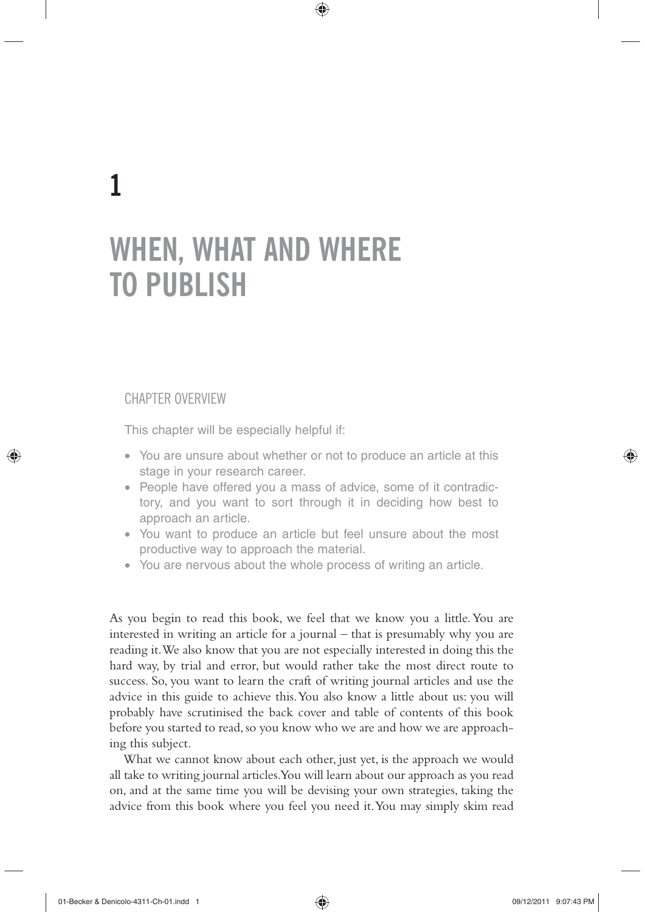# **1 WHEN, WHAT AND WHERE TO PUBLISH**

# CHAPTER OVERVIEW

⊕

This chapter will be especially helpful if:

• You are unsure about whether or not to produce an article at this stage in your research career.

⊕

- People have offered you a mass of advice, some of it contradictory, and you want to sort through it in deciding how best to approach an article.
- You want to produce an article but feel unsure about the most productive way to approach the material.
- You are nervous about the whole process of writing an article.

As you begin to read this book, we feel that we know you a little. You are interested in writing an article for a journal – that is presumably why you are reading it. We also know that you are not especially interested in doing this the hard way, by trial and error, but would rather take the most direct route to success. So, you want to learn the craft of writing journal articles and use the advice in this guide to achieve this. You also know a little about us: you will probably have scrutinised the back cover and table of contents of this book before you started to read, so you know who we are and how we are approaching this subject.

What we cannot know about each other, just yet, is the approach we would all take to writing journal articles. You will learn about our approach as you read on, and at the same time you will be devising your own strategies, taking the advice from this book where you feel you need it. You may simply skim read

01-Becker & Denicolo-4311-Ch-01.indd 1 09/12/2011 9:07:43 PM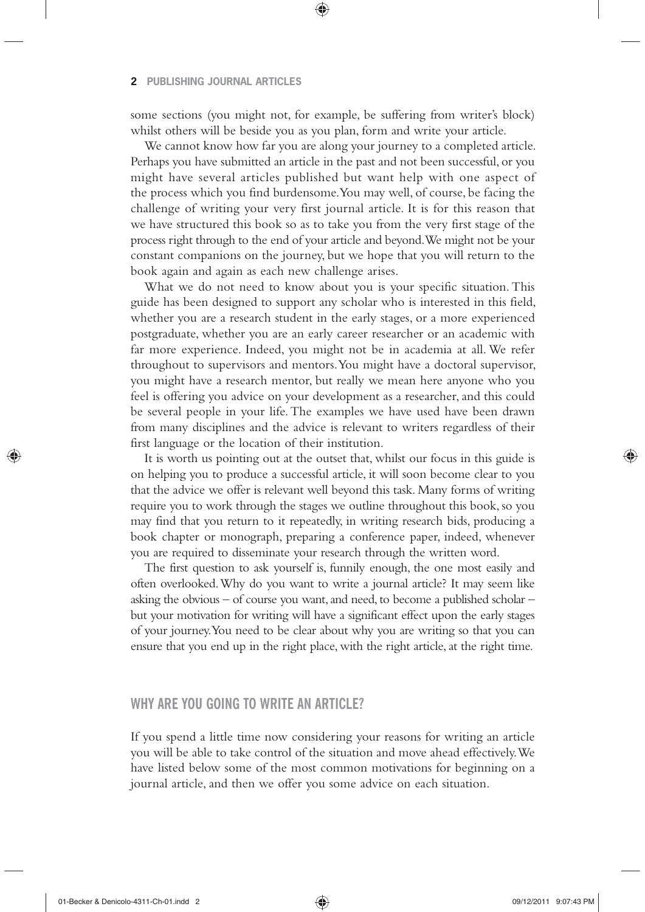some sections (you might not, for example, be suffering from writer's block) whilst others will be beside you as you plan, form and write your article.

⊕

We cannot know how far you are along your journey to a completed article. Perhaps you have submitted an article in the past and not been successful, or you might have several articles published but want help with one aspect of the process which you find burdensome. You may well, of course, be facing the challenge of writing your very first journal article. It is for this reason that we have structured this book so as to take you from the very first stage of the process right through to the end of your article and beyond. We might not be your constant companions on the journey, but we hope that you will return to the book again and again as each new challenge arises.

What we do not need to know about you is your specific situation. This guide has been designed to support any scholar who is interested in this field, whether you are a research student in the early stages, or a more experienced postgraduate, whether you are an early career researcher or an academic with far more experience. Indeed, you might not be in academia at all. We refer throughout to supervisors and mentors. You might have a doctoral supervisor, you might have a research mentor, but really we mean here anyone who you feel is offering you advice on your development as a researcher, and this could be several people in your life. The examples we have used have been drawn from many disciplines and the advice is relevant to writers regardless of their first language or the location of their institution.

It is worth us pointing out at the outset that, whilst our focus in this guide is on helping you to produce a successful article, it will soon become clear to you that the advice we offer is relevant well beyond this task. Many forms of writing require you to work through the stages we outline throughout this book, so you may find that you return to it repeatedly, in writing research bids, producing a book chapter or monograph, preparing a conference paper, indeed, whenever you are required to disseminate your research through the written word.

The first question to ask yourself is, funnily enough, the one most easily and often overlooked. Why do you want to write a journal article? It may seem like asking the obvious – of course you want, and need, to become a published scholar – but your motivation for writing will have a significant effect upon the early stages of your journey. You need to be clear about why you are writing so that you can ensure that you end up in the right place, with the right article, at the right time.

# **WHY ARE YOU GOING TO WRITE AN ARTICLE?**

If you spend a little time now considering your reasons for writing an article you will be able to take control of the situation and move ahead effectively. We have listed below some of the most common motivations for beginning on a journal article, and then we offer you some advice on each situation.

↔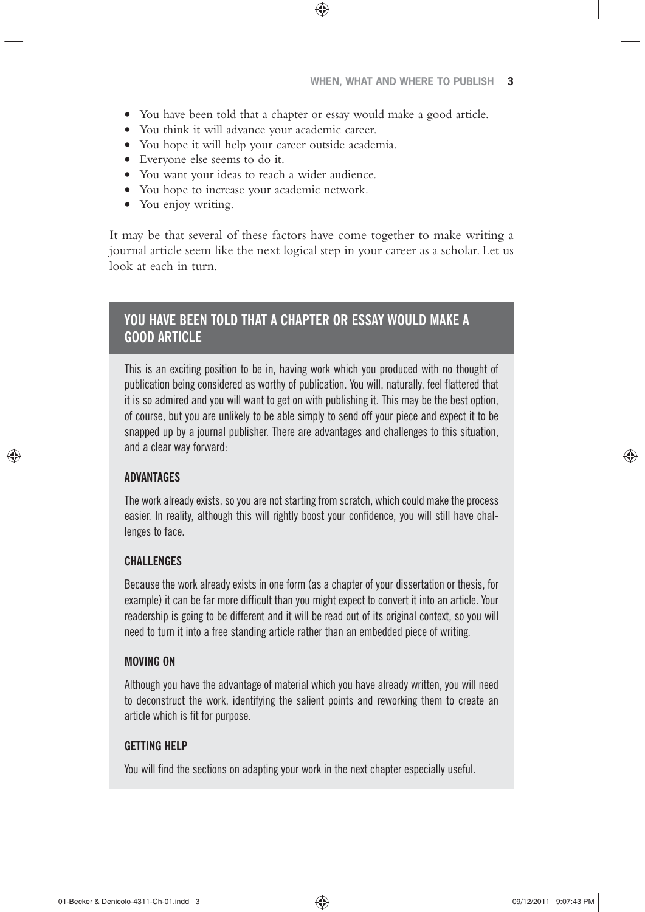#### **WHEN, WHAT AND WHERE TO PUBLISH 3**

You have been told that a chapter or essay would make a good article.

◈

- You think it will advance your academic career.
- You hope it will help your career outside academia.
- v Everyone else seems to do it.
- You want your ideas to reach a wider audience.
- You hope to increase your academic network.
- You enjoy writing.

It may be that several of these factors have come together to make writing a journal article seem like the next logical step in your career as a scholar. Let us look at each in turn.

# **YOU HAVE BEEN TOLD THAT A CHAPTER OR ESSAY WOULD MAKE A GOOD ARTICLE**

This is an exciting position to be in, having work which you produced with no thought of publication being considered as worthy of publication. You will, naturally, feel flattered that it is so admired and you will want to get on with publishing it. This may be the best option, of course, but you are unlikely to be able simply to send off your piece and expect it to be snapped up by a journal publisher. There are advantages and challenges to this situation, and a clear way forward:

#### **ADVANTAGES**

↔

The work already exists, so you are not starting from scratch, which could make the process easier. In reality, although this will rightly boost your confidence, you will still have challenges to face.

# **CHALLENGES**

Because the work already exists in one form (as a chapter of your dissertation or thesis, for example) it can be far more difficult than you might expect to convert it into an article. Your readership is going to be different and it will be read out of its original context, so you will need to turn it into a free standing article rather than an embedded piece of writing.

# **MOVING ON**

Although you have the advantage of material which you have already written, you will need to deconstruct the work, identifying the salient points and reworking them to create an article which is fit for purpose.

#### **GETTING HELP**

You will find the sections on adapting your work in the next chapter especially useful.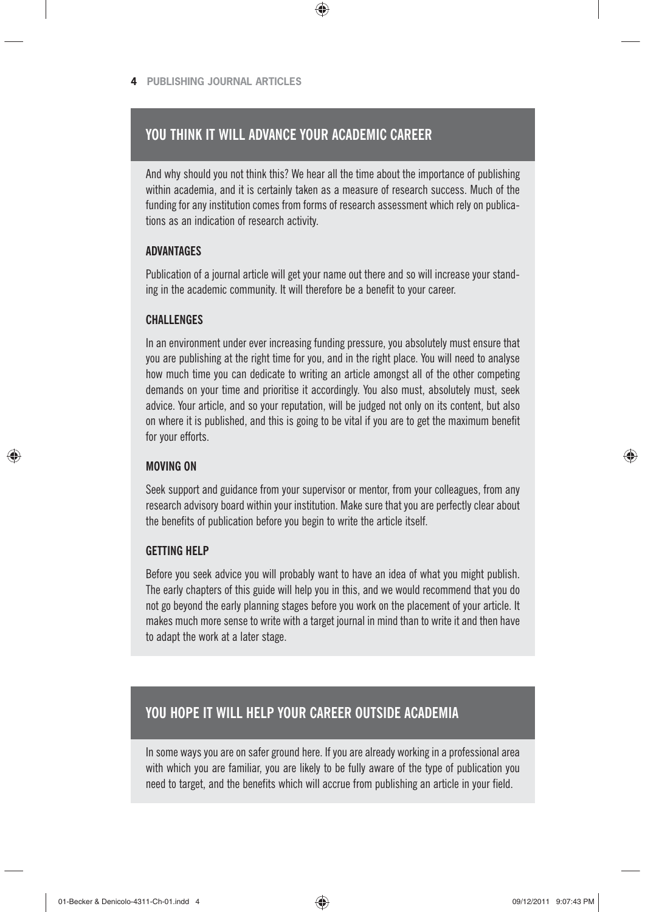# **YOU THINK IT WILL ADVANCE YOUR ACADEMIC CAREER**

And why should you not think this? We hear all the time about the importance of publishing within academia, and it is certainly taken as a measure of research success. Much of the funding for any institution comes from forms of research assessment which rely on publications as an indication of research activity.

◈

# **ADVANTAGES**

Publication of a journal article will get your name out there and so will increase your standing in the academic community. It will therefore be a benefit to your career.

# **CHALLENGES**

In an environment under ever increasing funding pressure, you absolutely must ensure that you are publishing at the right time for you, and in the right place. You will need to analyse how much time you can dedicate to writing an article amongst all of the other competing demands on your time and prioritise it accordingly. You also must, absolutely must, seek advice. Your article, and so your reputation, will be judged not only on its content, but also on where it is published, and this is going to be vital if you are to get the maximum benefit for your efforts.

# **MOVING ON**

↔

Seek support and guidance from your supervisor or mentor, from your colleagues, from any research advisory board within your institution. Make sure that you are perfectly clear about the benefits of publication before you begin to write the article itself.

# **GETTING HELP**

Before you seek advice you will probably want to have an idea of what you might publish. The early chapters of this guide will help you in this, and we would recommend that you do not go beyond the early planning stages before you work on the placement of your article. It makes much more sense to write with a target journal in mind than to write it and then have to adapt the work at a later stage.

# **YOU HOPE IT WILL HELP YOUR CAREER OUTSIDE ACADEMIA**

In some ways you are on safer ground here. If you are already working in a professional area with which you are familiar, you are likely to be fully aware of the type of publication you need to target, and the benefits which will accrue from publishing an article in your field.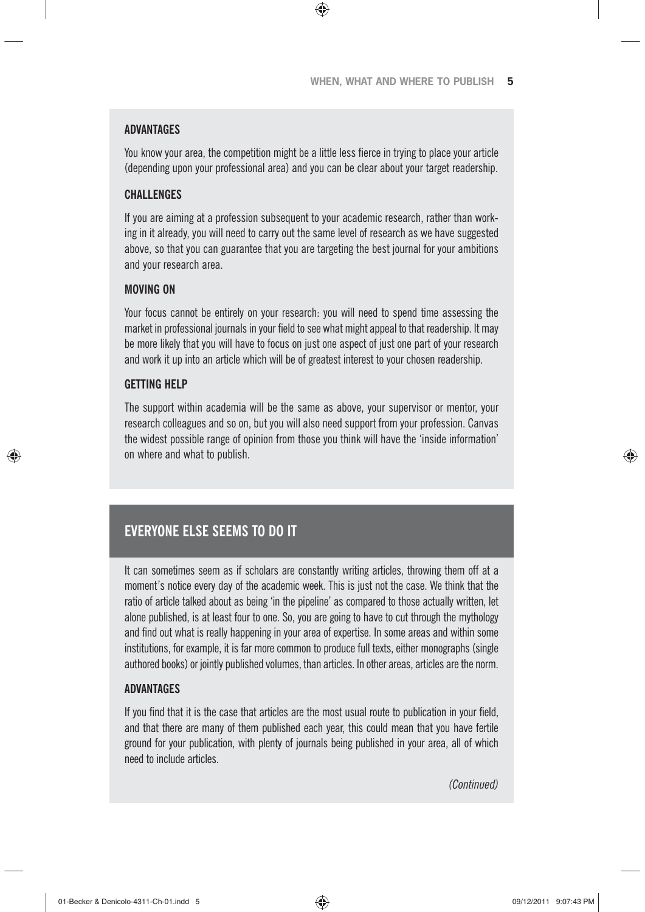## **ADVANTAGES**

You know your area, the competition might be a little less fierce in trying to place your article (depending upon your professional area) and you can be clear about your target readership.

⊕

## **CHALLENGES**

If you are aiming at a profession subsequent to your academic research, rather than working in it already, you will need to carry out the same level of research as we have suggested above, so that you can guarantee that you are targeting the best journal for your ambitions and your research area.

# **MOVING ON**

Your focus cannot be entirely on your research: you will need to spend time assessing the market in professional journals in your field to see what might appeal to that readership. It may be more likely that you will have to focus on just one aspect of just one part of your research and work it up into an article which will be of greatest interest to your chosen readership.

# **GETTING HELP**

◈

The support within academia will be the same as above, your supervisor or mentor, your research colleagues and so on, but you will also need support from your profession. Canvas the widest possible range of opinion from those you think will have the 'inside information' on where and what to publish.

# **EVERYONE ELSE SEEMS TO DO IT**

It can sometimes seem as if scholars are constantly writing articles, throwing them off at a moment's notice every day of the academic week. This is just not the case. We think that the ratio of article talked about as being 'in the pipeline' as compared to those actually written, let alone published, is at least four to one. So, you are going to have to cut through the mythology and find out what is really happening in your area of expertise. In some areas and within some institutions, for example, it is far more common to produce full texts, either monographs (single authored books) or jointly published volumes, than articles. In other areas, articles are the norm.

# **ADVANTAGES**

If you find that it is the case that articles are the most usual route to publication in your field, and that there are many of them published each year, this could mean that you have fertile ground for your publication, with plenty of journals being published in your area, all of which need to include articles.

*(Continued)*

01-Becker & Denicolo-4311-Ch-01.indd 5 09/12/2011 9:07:43 PM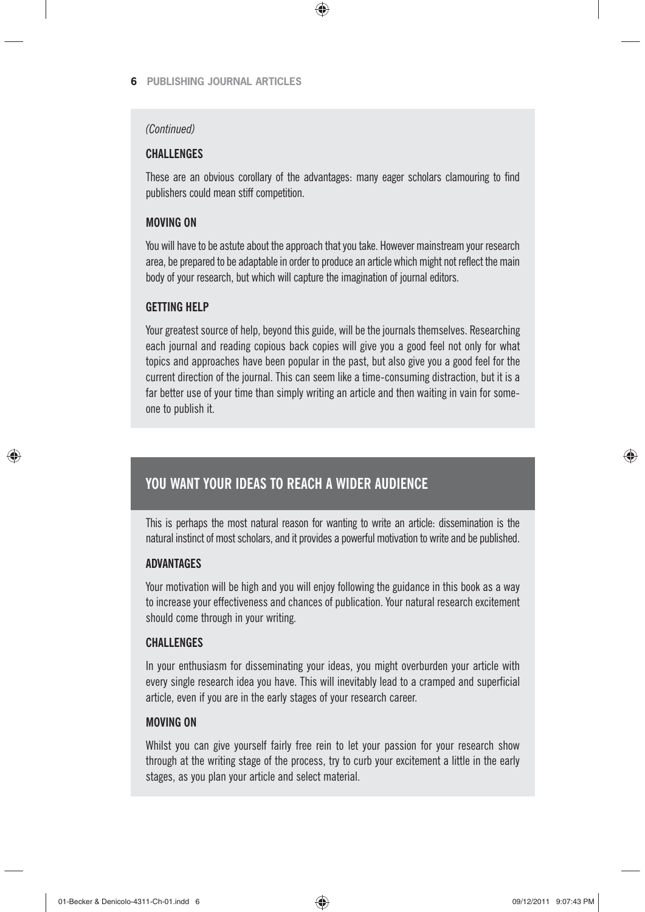# *(Continued)*

# **CHALLENGES**

These are an obvious corollary of the advantages: many eager scholars clamouring to find publishers could mean stiff competition.

⊕

# **MOVING ON**

You will have to be astute about the approach that you take. However mainstream your research area, be prepared to be adaptable in order to produce an article which might not reflect the main body of your research, but which will capture the imagination of journal editors.

#### **GETTING HELP**

Your greatest source of help, beyond this guide, will be the journals themselves. Researching each journal and reading copious back copies will give you a good feel not only for what topics and approaches have been popular in the past, but also give you a good feel for the current direction of the journal. This can seem like a time-consuming distraction, but it is a far better use of your time than simply writing an article and then waiting in vain for someone to publish it.

# **YOU WANT YOUR IDEAS TO REACH A WIDER AUDIENCE**

This is perhaps the most natural reason for wanting to write an article: dissemination is the natural instinct of most scholars, and it provides a powerful motivation to write and be published.

# **ADVANTAGES**

◈

Your motivation will be high and you will enjoy following the guidance in this book as a way to increase your effectiveness and chances of publication. Your natural research excitement should come through in your writing.

# **CHALLENGES**

In your enthusiasm for disseminating your ideas, you might overburden your article with every single research idea you have. This will inevitably lead to a cramped and superficial article, even if you are in the early stages of your research career.

## **MOVING ON**

Whilst you can give yourself fairly free rein to let your passion for your research show through at the writing stage of the process, try to curb your excitement a little in the early stages, as you plan your article and select material.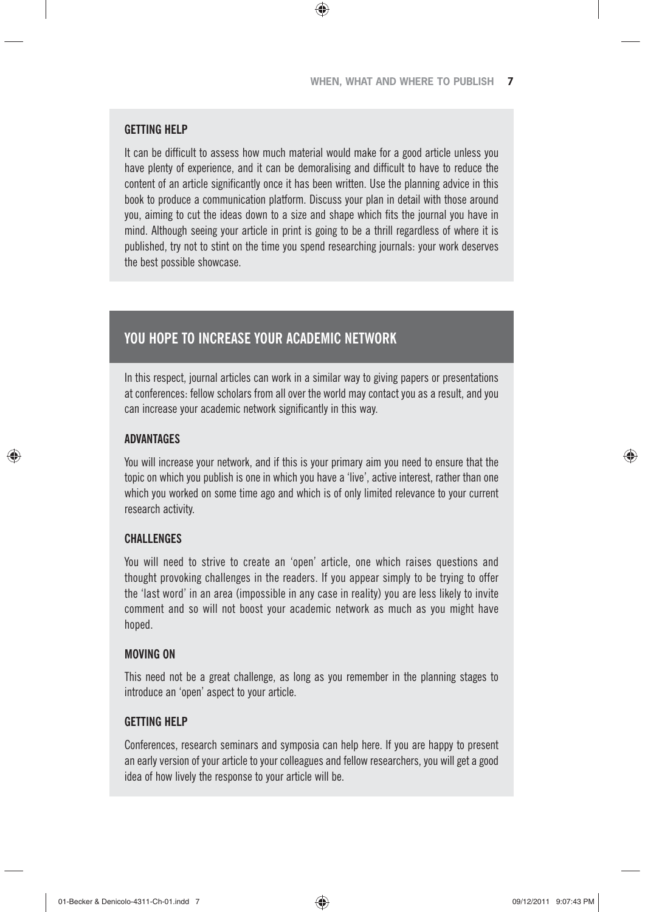# **GETTING HELP**

It can be difficult to assess how much material would make for a good article unless you have plenty of experience, and it can be demoralising and difficult to have to reduce the content of an article significantly once it has been written. Use the planning advice in this book to produce a communication platform. Discuss your plan in detail with those around you, aiming to cut the ideas down to a size and shape which fits the journal you have in mind. Although seeing your article in print is going to be a thrill regardless of where it is published, try not to stint on the time you spend researching journals: your work deserves the best possible showcase.

◈

# **YOU HOPE TO INCREASE YOUR ACADEMIC NETWORK**

In this respect, journal articles can work in a similar way to giving papers or presentations at conferences: fellow scholars from all over the world may contact you as a result, and you can increase your academic network significantly in this way.

#### **ADVANTAGES**

↔

You will increase your network, and if this is your primary aim you need to ensure that the topic on which you publish is one in which you have a 'live', active interest, rather than one which you worked on some time ago and which is of only limited relevance to your current research activity.

# **CHALLENGES**

You will need to strive to create an 'open' article, one which raises questions and thought provoking challenges in the readers. If you appear simply to be trying to offer the 'last word' in an area (impossible in any case in reality) you are less likely to invite comment and so will not boost your academic network as much as you might have hoped.

#### **MOVING ON**

This need not be a great challenge, as long as you remember in the planning stages to introduce an 'open' aspect to your article.

#### **GETTING HELP**

Conferences, research seminars and symposia can help here. If you are happy to present an early version of your article to your colleagues and fellow researchers, you will get a good idea of how lively the response to your article will be.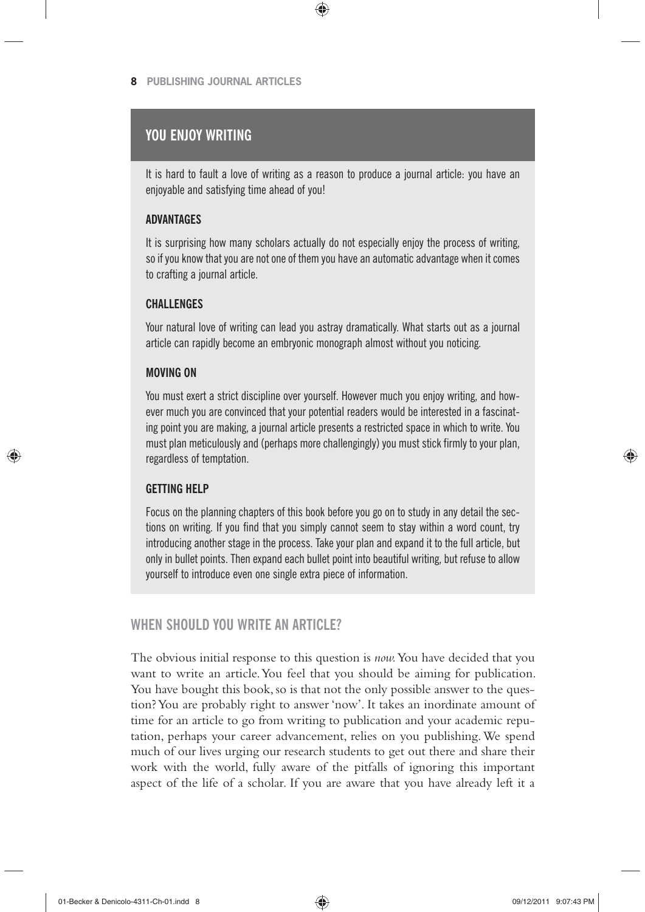# **YOU ENJOY WRITING**

It is hard to fault a love of writing as a reason to produce a journal article: you have an enjoyable and satisfying time ahead of you!

⊕

# **ADVANTAGES**

It is surprising how many scholars actually do not especially enjoy the process of writing, so if you know that you are not one of them you have an automatic advantage when it comes to crafting a journal article.

# **CHALLENGES**

Your natural love of writing can lead you astray dramatically. What starts out as a journal article can rapidly become an embryonic monograph almost without you noticing.

# **MOVING ON**

You must exert a strict discipline over yourself. However much you enjoy writing, and however much you are convinced that your potential readers would be interested in a fascinating point you are making, a journal article presents a restricted space in which to write. You must plan meticulously and (perhaps more challengingly) you must stick firmly to your plan, regardless of temptation.

#### **GETTING HELP**

↔

Focus on the planning chapters of this book before you go on to study in any detail the sections on writing. If you find that you simply cannot seem to stay within a word count, try introducing another stage in the process. Take your plan and expand it to the full article, but only in bullet points. Then expand each bullet point into beautiful writing, but refuse to allow yourself to introduce even one single extra piece of information.

# **WHEN SHOULD YOU WRITE AN ARTICLE?**

The obvious initial response to this question is *now.* You have decided that you want to write an article. You feel that you should be aiming for publication. You have bought this book, so is that not the only possible answer to the question? You are probably right to answer 'now'. It takes an inordinate amount of time for an article to go from writing to publication and your academic reputation, perhaps your career advancement, relies on you publishing. We spend much of our lives urging our research students to get out there and share their work with the world, fully aware of the pitfalls of ignoring this important aspect of the life of a scholar. If you are aware that you have already left it a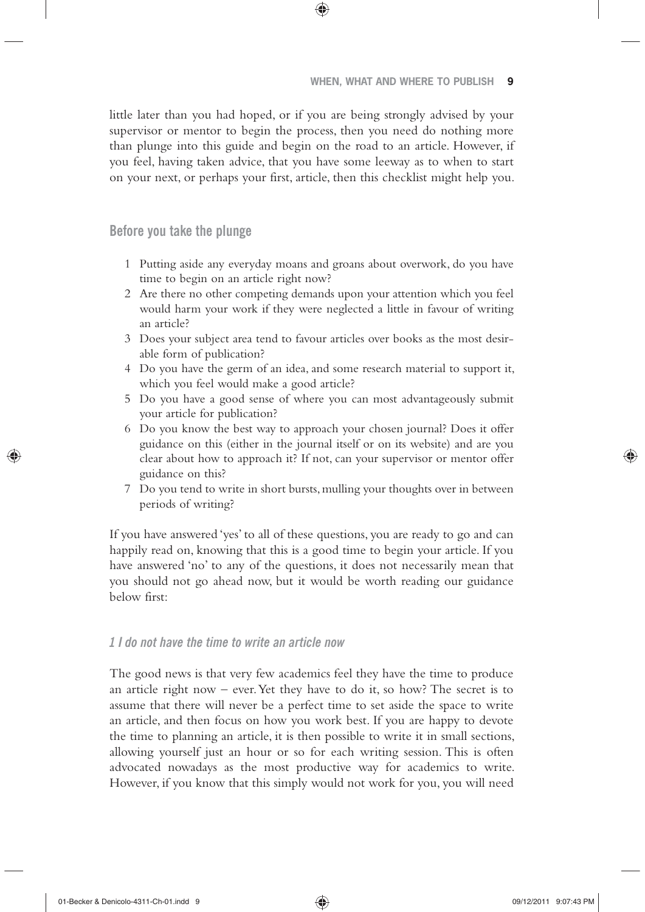#### **WHEN, WHAT AND WHERE TO PUBLISH 9**

little later than you had hoped, or if you are being strongly advised by your supervisor or mentor to begin the process, then you need do nothing more than plunge into this guide and begin on the road to an article. However, if you feel, having taken advice, that you have some leeway as to when to start on your next, or perhaps your first, article, then this checklist might help you.

◈

# **Before you take the plunge**

- 1 Putting aside any everyday moans and groans about overwork, do you have time to begin on an article right now?
- 2 Are there no other competing demands upon your attention which you feel would harm your work if they were neglected a little in favour of writing an article?
- 3 Does your subject area tend to favour articles over books as the most desirable form of publication?
- 4 Do you have the germ of an idea, and some research material to support it, which you feel would make a good article?
- 5 Do you have a good sense of where you can most advantageously submit your article for publication?
- 6 Do you know the best way to approach your chosen journal? Does it offer guidance on this (either in the journal itself or on its website) and are you clear about how to approach it? If not, can your supervisor or mentor offer guidance on this?
- 7 Do you tend to write in short bursts, mulling your thoughts over in between periods of writing?

If you have answered 'yes' to all of these questions, you are ready to go and can happily read on, knowing that this is a good time to begin your article. If you have answered 'no' to any of the questions, it does not necessarily mean that you should not go ahead now, but it would be worth reading our guidance below first:

## *1 I do not have the time to write an article now*

The good news is that very few academics feel they have the time to produce an article right now – ever. Yet they have to do it, so how? The secret is to assume that there will never be a perfect time to set aside the space to write an article, and then focus on how you work best. If you are happy to devote the time to planning an article, it is then possible to write it in small sections, allowing yourself just an hour or so for each writing session. This is often advocated nowadays as the most productive way for academics to write. However, if you know that this simply would not work for you, you will need

↔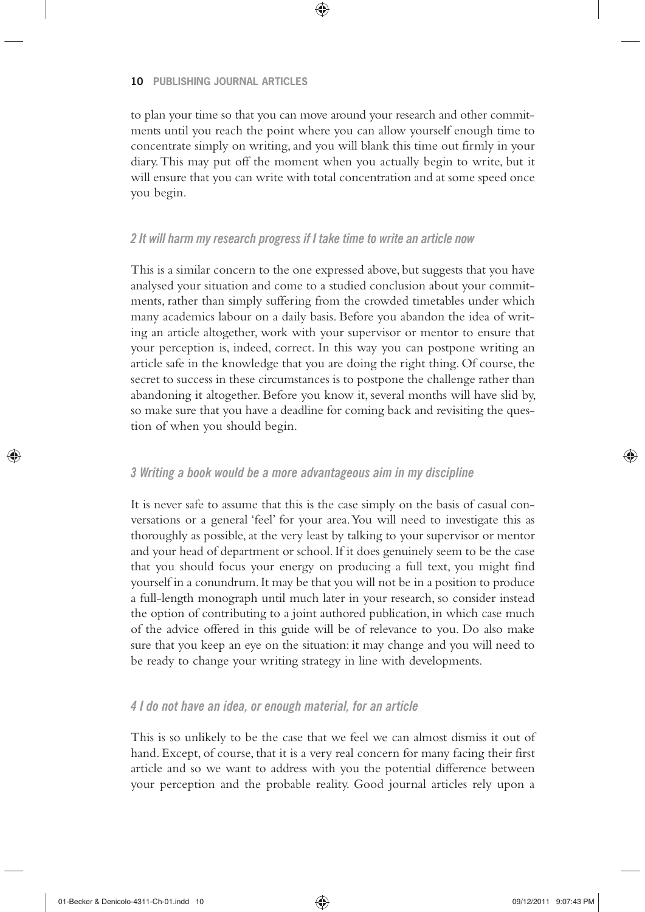to plan your time so that you can move around your research and other commitments until you reach the point where you can allow yourself enough time to concentrate simply on writing, and you will blank this time out firmly in your diary. This may put off the moment when you actually begin to write, but it will ensure that you can write with total concentration and at some speed once you begin.

❀

#### *2 It will harm my research progress if I take time to write an article now*

This is a similar concern to the one expressed above, but suggests that you have analysed your situation and come to a studied conclusion about your commitments, rather than simply suffering from the crowded timetables under which many academics labour on a daily basis. Before you abandon the idea of writing an article altogether, work with your supervisor or mentor to ensure that your perception is, indeed, correct. In this way you can postpone writing an article safe in the knowledge that you are doing the right thing. Of course, the secret to success in these circumstances is to postpone the challenge rather than abandoning it altogether. Before you know it, several months will have slid by, so make sure that you have a deadline for coming back and revisiting the question of when you should begin.

#### *3 Writing a book would be a more advantageous aim in my discipline*

It is never safe to assume that this is the case simply on the basis of casual conversations or a general 'feel' for your area. You will need to investigate this as thoroughly as possible, at the very least by talking to your supervisor or mentor and your head of department or school. If it does genuinely seem to be the case that you should focus your energy on producing a full text, you might find yourself in a conundrum. It may be that you will not be in a position to produce a full-length monograph until much later in your research, so consider instead the option of contributing to a joint authored publication, in which case much of the advice offered in this guide will be of relevance to you. Do also make sure that you keep an eye on the situation: it may change and you will need to be ready to change your writing strategy in line with developments.

# *4 I do not have an idea, or enough material, for an article*

This is so unlikely to be the case that we feel we can almost dismiss it out of hand. Except, of course, that it is a very real concern for many facing their first article and so we want to address with you the potential difference between your perception and the probable reality. Good journal articles rely upon a

↔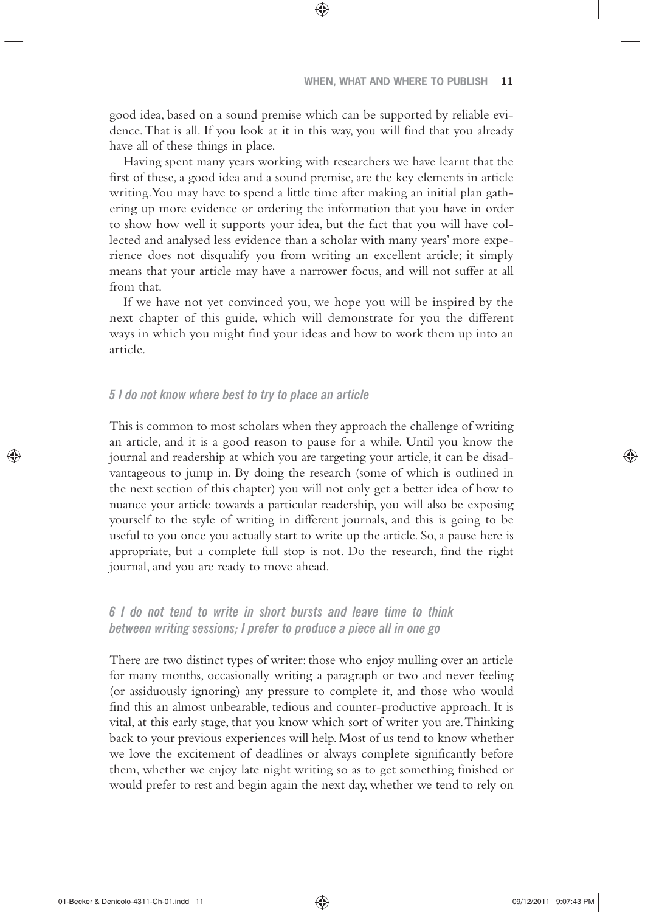good idea, based on a sound premise which can be supported by reliable evidence. That is all. If you look at it in this way, you will find that you already have all of these things in place.

◈

Having spent many years working with researchers we have learnt that the first of these, a good idea and a sound premise, are the key elements in article writing. You may have to spend a little time after making an initial plan gathering up more evidence or ordering the information that you have in order to show how well it supports your idea, but the fact that you will have collected and analysed less evidence than a scholar with many years' more experience does not disqualify you from writing an excellent article; it simply means that your article may have a narrower focus, and will not suffer at all from that.

If we have not yet convinced you, we hope you will be inspired by the next chapter of this guide, which will demonstrate for you the different ways in which you might find your ideas and how to work them up into an article.

#### *5 I do not know where best to try to place an article*

This is common to most scholars when they approach the challenge of writing an article, and it is a good reason to pause for a while. Until you know the journal and readership at which you are targeting your article, it can be disadvantageous to jump in. By doing the research (some of which is outlined in the next section of this chapter) you will not only get a better idea of how to nuance your article towards a particular readership, you will also be exposing yourself to the style of writing in different journals, and this is going to be useful to you once you actually start to write up the article. So, a pause here is appropriate, but a complete full stop is not. Do the research, find the right journal, and you are ready to move ahead.

# *6 I do not tend to write in short bursts and leave time to think between writing sessions; I prefer to produce a piece all in one go*

There are two distinct types of writer: those who enjoy mulling over an article for many months, occasionally writing a paragraph or two and never feeling (or assiduously ignoring) any pressure to complete it, and those who would find this an almost unbearable, tedious and counter-productive approach. It is vital, at this early stage, that you know which sort of writer you are. Thinking back to your previous experiences will help. Most of us tend to know whether we love the excitement of deadlines or always complete significantly before them, whether we enjoy late night writing so as to get something finished or would prefer to rest and begin again the next day, whether we tend to rely on

↔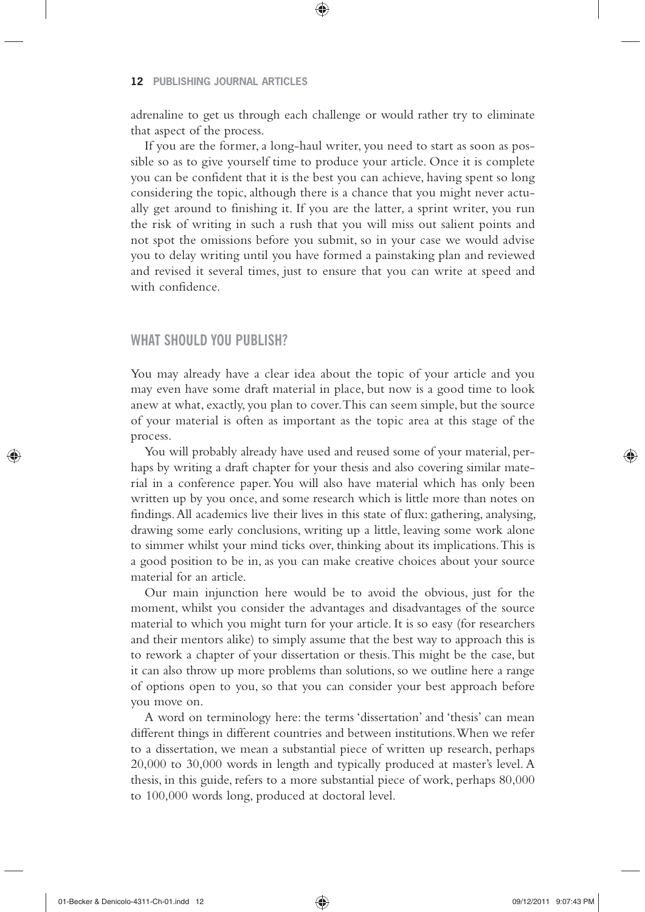adrenaline to get us through each challenge or would rather try to eliminate that aspect of the process.

⊕

If you are the former, a long-haul writer, you need to start as soon as possible so as to give yourself time to produce your article. Once it is complete you can be confident that it is the best you can achieve, having spent so long considering the topic, although there is a chance that you might never actually get around to finishing it. If you are the latter, a sprint writer, you run the risk of writing in such a rush that you will miss out salient points and not spot the omissions before you submit, so in your case we would advise you to delay writing until you have formed a painstaking plan and reviewed and revised it several times, just to ensure that you can write at speed and with confidence.

# **WHAT SHOULD YOU PUBLISH?**

You may already have a clear idea about the topic of your article and you may even have some draft material in place, but now is a good time to look anew at what, exactly, you plan to cover. This can seem simple, but the source of your material is often as important as the topic area at this stage of the process.

You will probably already have used and reused some of your material, perhaps by writing a draft chapter for your thesis and also covering similar material in a conference paper. You will also have material which has only been written up by you once, and some research which is little more than notes on findings. All academics live their lives in this state of flux: gathering, analysing, drawing some early conclusions, writing up a little, leaving some work alone to simmer whilst your mind ticks over, thinking about its implications. This is a good position to be in, as you can make creative choices about your source material for an article.

Our main injunction here would be to avoid the obvious, just for the moment, whilst you consider the advantages and disadvantages of the source material to which you might turn for your article. It is so easy (for researchers and their mentors alike) to simply assume that the best way to approach this is to rework a chapter of your dissertation or thesis. This might be the case, but it can also throw up more problems than solutions, so we outline here a range of options open to you, so that you can consider your best approach before you move on.

A word on terminology here: the terms 'dissertation' and 'thesis' can mean different things in different countries and between institutions. When we refer to a dissertation, we mean a substantial piece of written up research, perhaps 20,000 to 30,000 words in length and typically produced at master's level. A thesis, in this guide, refers to a more substantial piece of work, perhaps 80,000 to 100,000 words long, produced at doctoral level.

↔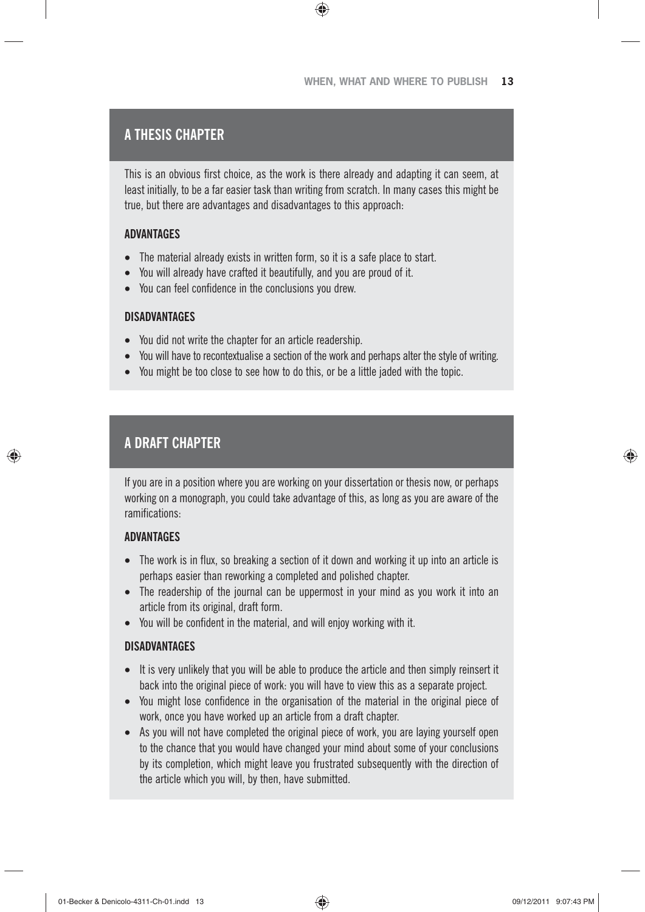#### **WHEN, WHAT AND WHERE TO PUBLISH 13**

# **A THESIS CHAPTER**

This is an obvious first choice, as the work is there already and adapting it can seem, at least initially, to be a far easier task than writing from scratch. In many cases this might be true, but there are advantages and disadvantages to this approach:

◈

## **ADVANTAGES**

- The material already exists in written form, so it is a safe place to start.
- You will already have crafted it beautifully, and you are proud of it.
- You can feel confidence in the conclusions you drew.

#### **DISADVANTAGES**

- You did not write the chapter for an article readership.
- You will have to recontextualise a section of the work and perhaps alter the style of writing.
- You might be too close to see how to do this, or be a little jaded with the topic.

# **A DRAFT CHAPTER**

If you are in a position where you are working on your dissertation or thesis now, or perhaps working on a monograph, you could take advantage of this, as long as you are aware of the ramifications:

## **ADVANTAGES**

◈

- The work is in flux, so breaking a section of it down and working it up into an article is perhaps easier than reworking a completed and polished chapter.
- The readership of the journal can be uppermost in your mind as you work it into an article from its original, draft form.
- $\bullet$  You will be confident in the material, and will enjoy working with it.

#### **DISADVANTAGES**

- It is very unlikely that you will be able to produce the article and then simply reinsert it back into the original piece of work: you will have to view this as a separate project.
- You might lose confidence in the organisation of the material in the original piece of work, once you have worked up an article from a draft chapter.
- As you will not have completed the original piece of work, you are laying yourself open to the chance that you would have changed your mind about some of your conclusions by its completion, which might leave you frustrated subsequently with the direction of the article which you will, by then, have submitted.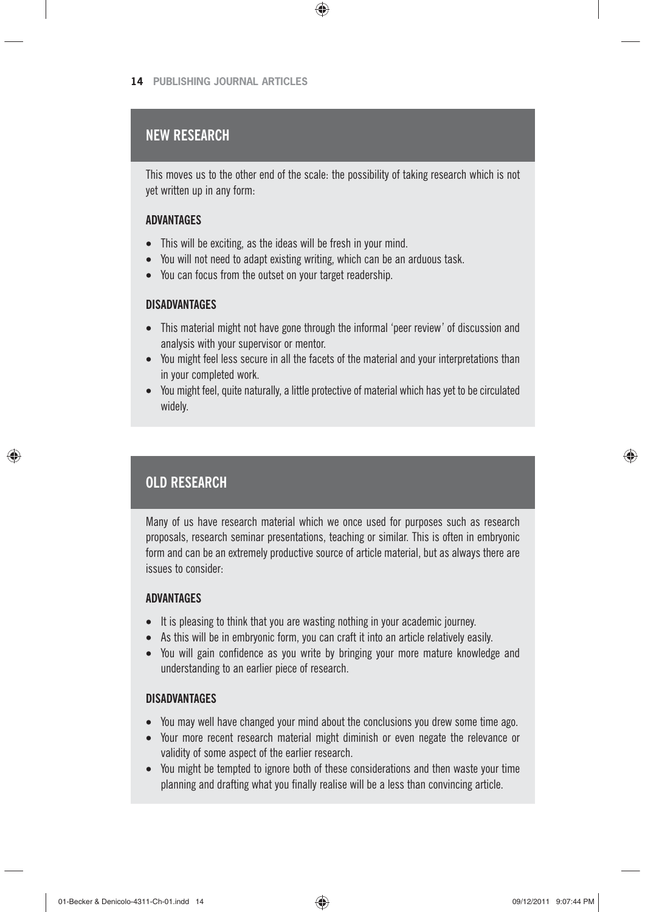# **NEW RESEARCH**

This moves us to the other end of the scale: the possibility of taking research which is not yet written up in any form:

⊕

# **ADVANTAGES**

- This will be exciting, as the ideas will be fresh in your mind.
- You will not need to adapt existing writing, which can be an arduous task.
- You can focus from the outset on your target readership.

# **DISADVANTAGES**

- This material might not have gone through the informal 'peer review' of discussion and analysis with your supervisor or mentor.
- You might feel less secure in all the facets of the material and your interpretations than in your completed work.
- You might feel, quite naturally, a little protective of material which has yet to be circulated widely.

# **OLD RESEARCH**

↔

Many of us have research material which we once used for purposes such as research proposals, research seminar presentations, teaching or similar. This is often in embryonic form and can be an extremely productive source of article material, but as always there are issues to consider:

## **ADVANTAGES**

- It is pleasing to think that you are wasting nothing in your academic journey.
- As this will be in embryonic form, you can craft it into an article relatively easily.
- You will gain confidence as you write by bringing your more mature knowledge and understanding to an earlier piece of research.

## **DISADVANTAGES**

- You may well have changed your mind about the conclusions you drew some time ago.
- Your more recent research material might diminish or even negate the relevance or validity of some aspect of the earlier research.
- You might be tempted to ignore both of these considerations and then waste your time planning and drafting what you finally realise will be a less than convincing article.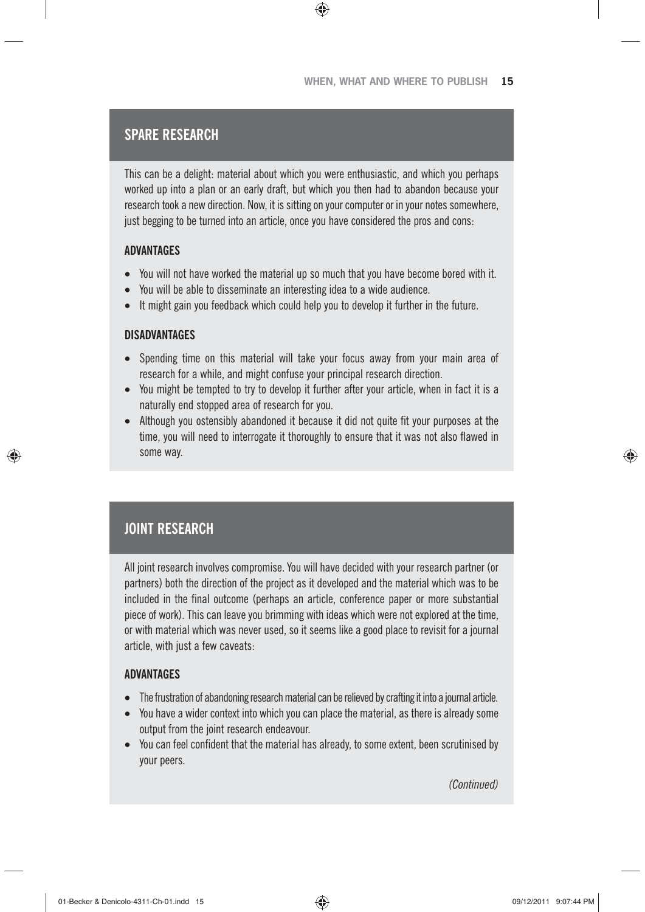# **SPARE RESEARCH**

This can be a delight: material about which you were enthusiastic, and which you perhaps worked up into a plan or an early draft, but which you then had to abandon because your research took a new direction. Now, it is sitting on your computer or in your notes somewhere, just begging to be turned into an article, once you have considered the pros and cons:

 $\bigcirc$ 

#### **ADVANTAGES**

- You will not have worked the material up so much that you have become bored with it.
- You will be able to disseminate an interesting idea to a wide audience.
- It might gain you feedback which could help you to develop it further in the future.

#### **DISADVANTAGES**

- Spending time on this material will take your focus away from your main area of research for a while, and might confuse your principal research direction.
- You might be tempted to try to develop it further after your article, when in fact it is a naturally end stopped area of research for you.
- Although you ostensibly abandoned it because it did not quite fit your purposes at the time, you will need to interrogate it thoroughly to ensure that it was not also flawed in some way.

# **JOINT RESEARCH**

◈

All joint research involves compromise. You will have decided with your research partner (or partners) both the direction of the project as it developed and the material which was to be included in the final outcome (perhaps an article, conference paper or more substantial piece of work). This can leave you brimming with ideas which were not explored at the time, or with material which was never used, so it seems like a good place to revisit for a journal article, with just a few caveats:

# **ADVANTAGES**

- The frustration of abandoning research material can be relieved by crafting it into a journal article.
- You have a wider context into which you can place the material, as there is already some output from the joint research endeavour.
- You can feel confident that the material has already, to some extent, been scrutinised by your peers.

*(Continued)*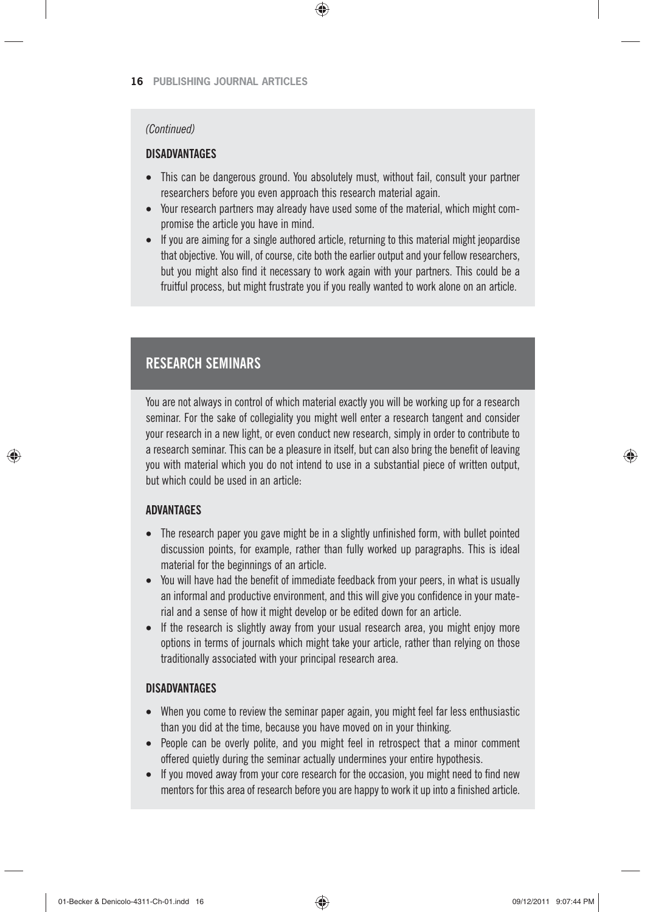## *(Continued)*

# **DISADVANTAGES**

• This can be dangerous ground. You absolutely must, without fail, consult your partner researchers before you even approach this research material again.

⊕

- Your research partners may already have used some of the material, which might compromise the article you have in mind.
- If you are aiming for a single authored article, returning to this material might jeopardise that objective. You will, of course, cite both the earlier output and your fellow researchers, but you might also find it necessary to work again with your partners. This could be a fruitful process, but might frustrate you if you really wanted to work alone on an article.

# **RESEARCH SEMINARS**

You are not always in control of which material exactly you will be working up for a research seminar. For the sake of collegiality you might well enter a research tangent and consider your research in a new light, or even conduct new research, simply in order to contribute to a research seminar. This can be a pleasure in itself, but can also bring the benefit of leaving you with material which you do not intend to use in a substantial piece of written output, but which could be used in an article:

# **ADVANTAGES**

⊕

- The research paper you gave might be in a slightly unfinished form, with bullet pointed discussion points, for example, rather than fully worked up paragraphs. This is ideal material for the beginnings of an article.
- You will have had the benefit of immediate feedback from your peers, in what is usually an informal and productive environment, and this will give you confidence in your material and a sense of how it might develop or be edited down for an article.
- If the research is slightly away from your usual research area, you might enjoy more options in terms of journals which might take your article, rather than relying on those traditionally associated with your principal research area.

# **DISADVANTAGES**

- When you come to review the seminar paper again, you might feel far less enthusiastic than you did at the time, because you have moved on in your thinking.
- People can be overly polite, and you might feel in retrospect that a minor comment offered quietly during the seminar actually undermines your entire hypothesis.
- If you moved away from your core research for the occasion, you might need to find new mentors for this area of research before you are happy to work it up into a finished article.

01-Becker & Denicolo-4311-Ch-01.indd 16 (a)  $\bigoplus$  09/12/2011 9:07:44 PM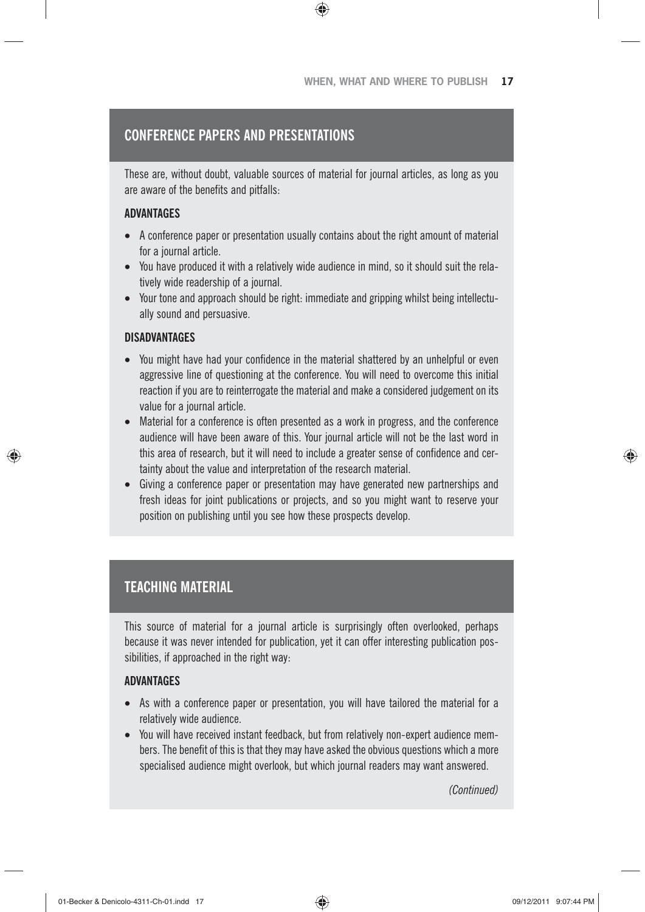# **CONFERENCE PAPERS AND PRESENTATIONS**

These are, without doubt, valuable sources of material for journal articles, as long as you are aware of the benefits and pitfalls:

⊕

## **ADVANTAGES**

- A conference paper or presentation usually contains about the right amount of material for a journal article.
- You have produced it with a relatively wide audience in mind, so it should suit the relatively wide readership of a journal.
- Your tone and approach should be right: immediate and gripping whilst being intellectually sound and persuasive.

# **DISADVANTAGES**

 $\bigcirc$ 

- You might have had your confidence in the material shattered by an unhelpful or even aggressive line of questioning at the conference. You will need to overcome this initial reaction if you are to reinterrogate the material and make a considered judgement on its value for a journal article.
- Material for a conference is often presented as a work in progress, and the conference audience will have been aware of this. Your journal article will not be the last word in this area of research, but it will need to include a greater sense of confidence and certainty about the value and interpretation of the research material.
- Giving a conference paper or presentation may have generated new partnerships and fresh ideas for joint publications or projects, and so you might want to reserve your position on publishing until you see how these prospects develop.

# **TEACHING MATERIAL**

This source of material for a journal article is surprisingly often overlooked, perhaps because it was never intended for publication, yet it can offer interesting publication possibilities, if approached in the right way:

## **ADVANTAGES**

- As with a conference paper or presentation, you will have tailored the material for a relatively wide audience.
- You will have received instant feedback, but from relatively non-expert audience members. The benefit of this is that they may have asked the obvious questions which a more specialised audience might overlook, but which journal readers may want answered.

*(Continued)*

01-Becker & Denicolo-4311-Ch-01.indd 17 (a) 09/12/2011 9:07:44 PM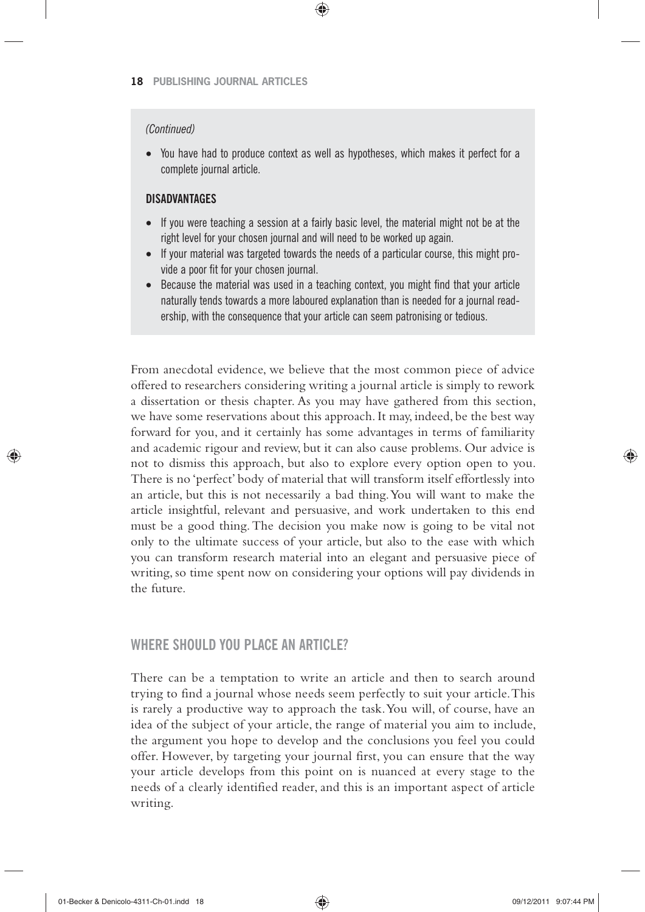## *(Continued)*

• You have had to produce context as well as hypotheses, which makes it perfect for a complete journal article.

❀

## **DISADVANTAGES**

- If you were teaching a session at a fairly basic level, the material might not be at the right level for your chosen journal and will need to be worked up again.
- If your material was targeted towards the needs of a particular course, this might provide a poor fit for your chosen journal.
- Because the material was used in a teaching context, you might find that your article naturally tends towards a more laboured explanation than is needed for a journal readership, with the consequence that your article can seem patronising or tedious.

From anecdotal evidence, we believe that the most common piece of advice offered to researchers considering writing a journal article is simply to rework a dissertation or thesis chapter. As you may have gathered from this section, we have some reservations about this approach. It may, indeed, be the best way forward for you, and it certainly has some advantages in terms of familiarity and academic rigour and review, but it can also cause problems. Our advice is not to dismiss this approach, but also to explore every option open to you. There is no 'perfect' body of material that will transform itself effortlessly into an article, but this is not necessarily a bad thing. You will want to make the article insightful, relevant and persuasive, and work undertaken to this end must be a good thing. The decision you make now is going to be vital not only to the ultimate success of your article, but also to the ease with which you can transform research material into an elegant and persuasive piece of writing, so time spent now on considering your options will pay dividends in the future.

# **WHERE SHOULD YOU PLACE AN ARTICLE?**

There can be a temptation to write an article and then to search around trying to find a journal whose needs seem perfectly to suit your article. This is rarely a productive way to approach the task. You will, of course, have an idea of the subject of your article, the range of material you aim to include, the argument you hope to develop and the conclusions you feel you could offer. However, by targeting your journal first, you can ensure that the way your article develops from this point on is nuanced at every stage to the needs of a clearly identified reader, and this is an important aspect of article writing.

↔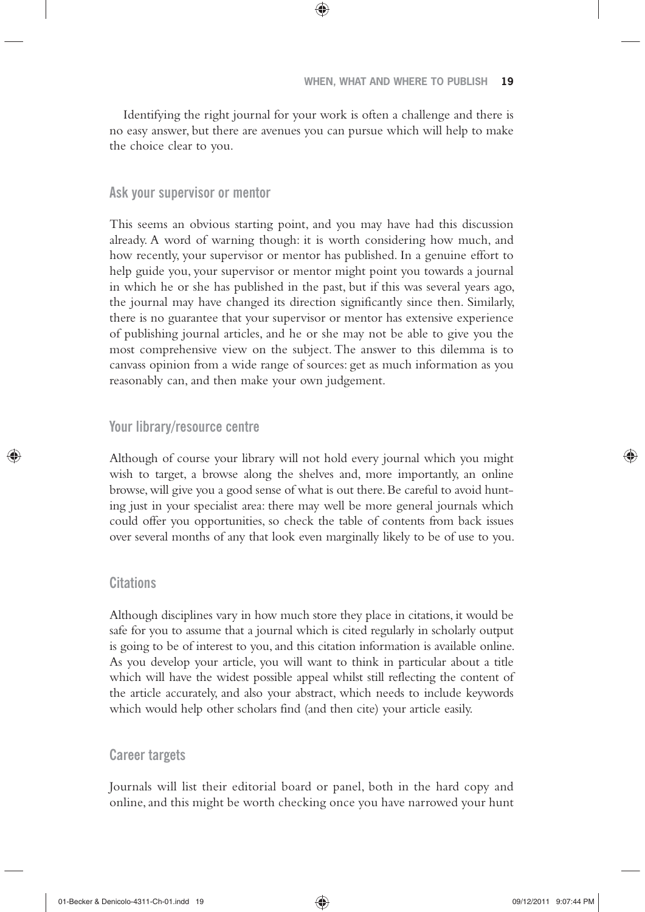Identifying the right journal for your work is often a challenge and there is no easy answer, but there are avenues you can pursue which will help to make the choice clear to you.

⊕

## **Ask your supervisor or mentor**

This seems an obvious starting point, and you may have had this discussion already. A word of warning though: it is worth considering how much, and how recently, your supervisor or mentor has published. In a genuine effort to help guide you, your supervisor or mentor might point you towards a journal in which he or she has published in the past, but if this was several years ago, the journal may have changed its direction significantly since then. Similarly, there is no guarantee that your supervisor or mentor has extensive experience of publishing journal articles, and he or she may not be able to give you the most comprehensive view on the subject. The answer to this dilemma is to canvass opinion from a wide range of sources: get as much information as you reasonably can, and then make your own judgement.

# **Your library/resource centre**

Although of course your library will not hold every journal which you might wish to target, a browse along the shelves and, more importantly, an online browse, will give you a good sense of what is out there. Be careful to avoid hunting just in your specialist area: there may well be more general journals which could offer you opportunities, so check the table of contents from back issues over several months of any that look even marginally likely to be of use to you.

# **Citations**

↔

Although disciplines vary in how much store they place in citations, it would be safe for you to assume that a journal which is cited regularly in scholarly output is going to be of interest to you, and this citation information is available online. As you develop your article, you will want to think in particular about a title which will have the widest possible appeal whilst still reflecting the content of the article accurately, and also your abstract, which needs to include keywords which would help other scholars find (and then cite) your article easily.

## **Career targets**

Journals will list their editorial board or panel, both in the hard copy and online, and this might be worth checking once you have narrowed your hunt

01-Becker & Denicolo-4311-Ch-01.indd 19 09/12/2011 9:07:44 PM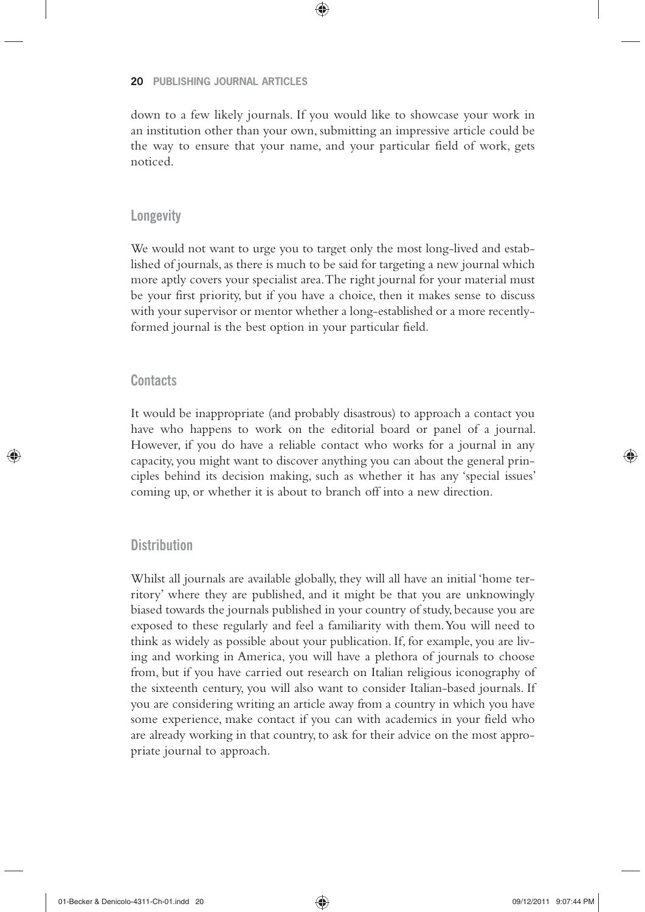down to a few likely journals. If you would like to showcase your work in an institution other than your own, submitting an impressive article could be the way to ensure that your name, and your particular field of work, gets noticed.

❀

#### **Longevity**

We would not want to urge you to target only the most long-lived and established of journals, as there is much to be said for targeting a new journal which more aptly covers your specialist area. The right journal for your material must be your first priority, but if you have a choice, then it makes sense to discuss with your supervisor or mentor whether a long-established or a more recentlyformed journal is the best option in your particular field.

#### **Contacts**

↔

It would be inappropriate (and probably disastrous) to approach a contact you have who happens to work on the editorial board or panel of a journal. However, if you do have a reliable contact who works for a journal in any capacity, you might want to discover anything you can about the general principles behind its decision making, such as whether it has any 'special issues' coming up, or whether it is about to branch off into a new direction.

# **Distribution**

Whilst all journals are available globally, they will all have an initial 'home territory' where they are published, and it might be that you are unknowingly biased towards the journals published in your country of study, because you are exposed to these regularly and feel a familiarity with them. You will need to think as widely as possible about your publication. If, for example, you are living and working in America, you will have a plethora of journals to choose from, but if you have carried out research on Italian religious iconography of the sixteenth century, you will also want to consider Italian-based journals. If you are considering writing an article away from a country in which you have some experience, make contact if you can with academics in your field who are already working in that country, to ask for their advice on the most appropriate journal to approach.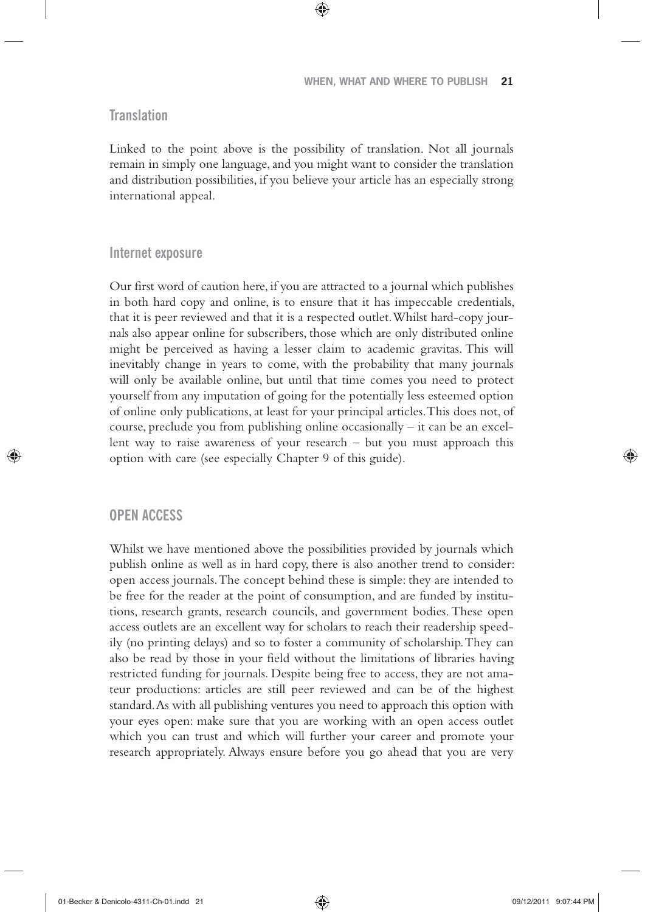# **Translation**

Linked to the point above is the possibility of translation. Not all journals remain in simply one language, and you might want to consider the translation and distribution possibilities, if you believe your article has an especially strong international appeal.

⊕

#### **Internet exposure**

Our first word of caution here, if you are attracted to a journal which publishes in both hard copy and online, is to ensure that it has impeccable credentials, that it is peer reviewed and that it is a respected outlet. Whilst hard-copy journals also appear online for subscribers, those which are only distributed online might be perceived as having a lesser claim to academic gravitas. This will inevitably change in years to come, with the probability that many journals will only be available online, but until that time comes you need to protect yourself from any imputation of going for the potentially less esteemed option of online only publications, at least for your principal articles. This does not, of course, preclude you from publishing online occasionally – it can be an excellent way to raise awareness of your research – but you must approach this option with care (see especially Chapter 9 of this guide).

# **OPEN ACCESS**

↔

Whilst we have mentioned above the possibilities provided by journals which publish online as well as in hard copy, there is also another trend to consider: open access journals. The concept behind these is simple: they are intended to be free for the reader at the point of consumption, and are funded by institutions, research grants, research councils, and government bodies. These open access outlets are an excellent way for scholars to reach their readership speedily (no printing delays) and so to foster a community of scholarship. They can also be read by those in your field without the limitations of libraries having restricted funding for journals. Despite being free to access, they are not amateur productions: articles are still peer reviewed and can be of the highest standard. As with all publishing ventures you need to approach this option with your eyes open: make sure that you are working with an open access outlet which you can trust and which will further your career and promote your research appropriately. Always ensure before you go ahead that you are very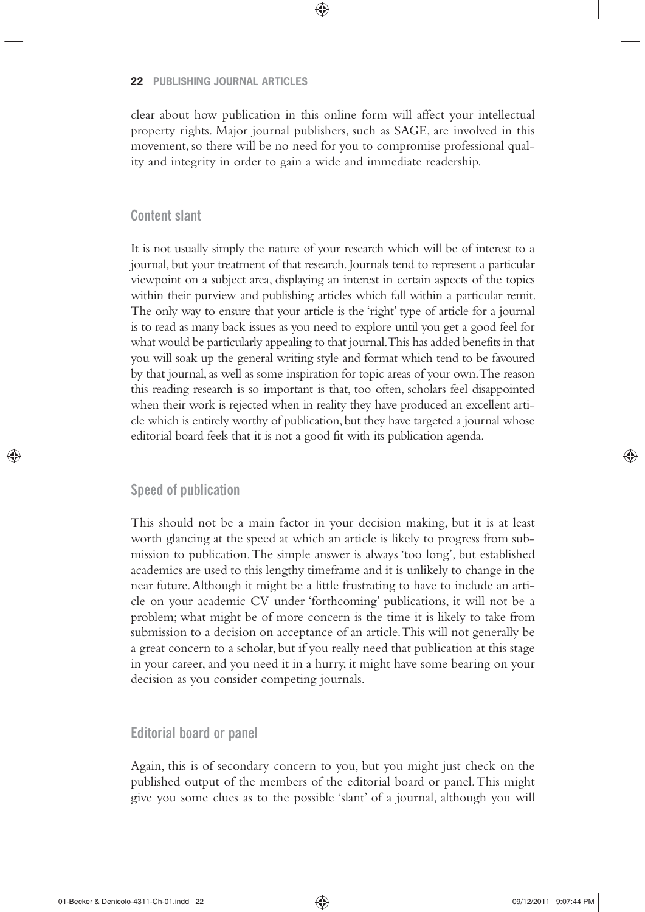clear about how publication in this online form will affect your intellectual property rights. Major journal publishers, such as SAGE, are involved in this movement, so there will be no need for you to compromise professional quality and integrity in order to gain a wide and immediate readership.

❀

## **Content slant**

It is not usually simply the nature of your research which will be of interest to a journal, but your treatment of that research. Journals tend to represent a particular viewpoint on a subject area, displaying an interest in certain aspects of the topics within their purview and publishing articles which fall within a particular remit. The only way to ensure that your article is the 'right' type of article for a journal is to read as many back issues as you need to explore until you get a good feel for what would be particularly appealing to that journal. This has added benefits in that you will soak up the general writing style and format which tend to be favoured by that journal, as well as some inspiration for topic areas of your own. The reason this reading research is so important is that, too often, scholars feel disappointed when their work is rejected when in reality they have produced an excellent article which is entirely worthy of publication, but they have targeted a journal whose editorial board feels that it is not a good fit with its publication agenda.

# **Speed of publication**

↔

This should not be a main factor in your decision making, but it is at least worth glancing at the speed at which an article is likely to progress from submission to publication. The simple answer is always 'too long', but established academics are used to this lengthy timeframe and it is unlikely to change in the near future. Although it might be a little frustrating to have to include an article on your academic CV under 'forthcoming' publications, it will not be a problem; what might be of more concern is the time it is likely to take from submission to a decision on acceptance of an article. This will not generally be a great concern to a scholar, but if you really need that publication at this stage in your career, and you need it in a hurry, it might have some bearing on your decision as you consider competing journals.

# **Editorial board or panel**

Again, this is of secondary concern to you, but you might just check on the published output of the members of the editorial board or panel. This might give you some clues as to the possible 'slant' of a journal, although you will

01-Becker & Denicolo-4311-Ch-01.indd 22 (a) 09/12/2011 9:07:44 PM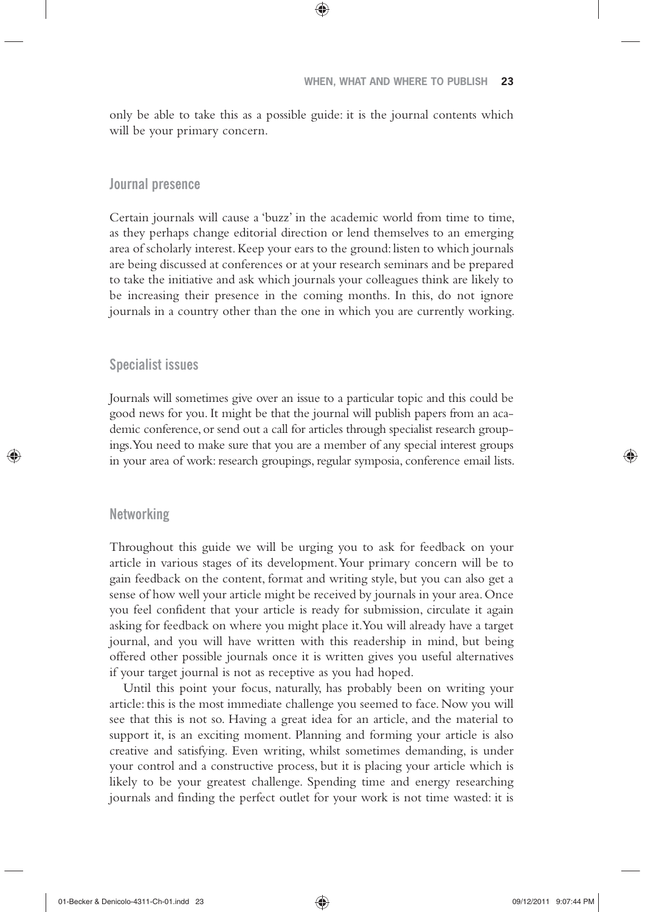only be able to take this as a possible guide: it is the journal contents which will be your primary concern.

 $\bigcirc$ 

## **Journal presence**

Certain journals will cause a 'buzz' in the academic world from time to time, as they perhaps change editorial direction or lend themselves to an emerging area of scholarly interest. Keep your ears to the ground: listen to which journals are being discussed at conferences or at your research seminars and be prepared to take the initiative and ask which journals your colleagues think are likely to be increasing their presence in the coming months. In this, do not ignore journals in a country other than the one in which you are currently working.

# **Specialist issues**

Journals will sometimes give over an issue to a particular topic and this could be good news for you. It might be that the journal will publish papers from an academic conference, or send out a call for articles through specialist research groupings. You need to make sure that you are a member of any special interest groups in your area of work: research groupings, regular symposia, conference email lists.

# **Networking**

⊕

Throughout this guide we will be urging you to ask for feedback on your article in various stages of its development. Your primary concern will be to gain feedback on the content, format and writing style, but you can also get a sense of how well your article might be received by journals in your area. Once you feel confident that your article is ready for submission, circulate it again asking for feedback on where you might place it. You will already have a target journal, and you will have written with this readership in mind, but being offered other possible journals once it is written gives you useful alternatives if your target journal is not as receptive as you had hoped.

Until this point your focus, naturally, has probably been on writing your article: this is the most immediate challenge you seemed to face. Now you will see that this is not so. Having a great idea for an article, and the material to support it, is an exciting moment. Planning and forming your article is also creative and satisfying. Even writing, whilst sometimes demanding, is under your control and a constructive process, but it is placing your article which is likely to be your greatest challenge. Spending time and energy researching journals and finding the perfect outlet for your work is not time wasted: it is

01-Becker & Denicolo-4311-Ch-01.indd 23 09/12/2011 9:07:44 PM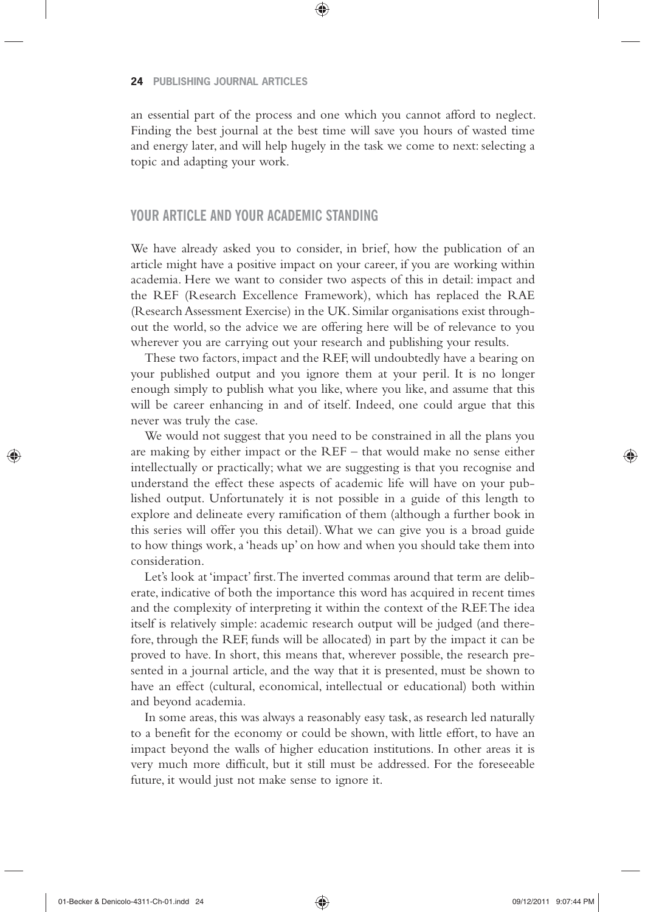an essential part of the process and one which you cannot afford to neglect. Finding the best journal at the best time will save you hours of wasted time and energy later, and will help hugely in the task we come to next: selecting a topic and adapting your work.

❀

# **YOUR ARTICLE AND YOUR ACADEMIC STANDING**

We have already asked you to consider, in brief, how the publication of an article might have a positive impact on your career, if you are working within academia. Here we want to consider two aspects of this in detail: impact and the REF (Research Excellence Framework), which has replaced the RAE (Research Assessment Exercise) in the UK. Similar organisations exist throughout the world, so the advice we are offering here will be of relevance to you wherever you are carrying out your research and publishing your results.

These two factors, impact and the REF, will undoubtedly have a bearing on your published output and you ignore them at your peril. It is no longer enough simply to publish what you like, where you like, and assume that this will be career enhancing in and of itself. Indeed, one could argue that this never was truly the case.

We would not suggest that you need to be constrained in all the plans you are making by either impact or the REF – that would make no sense either intellectually or practically; what we are suggesting is that you recognise and understand the effect these aspects of academic life will have on your published output. Unfortunately it is not possible in a guide of this length to explore and delineate every ramification of them (although a further book in this series will offer you this detail). What we can give you is a broad guide to how things work, a 'heads up' on how and when you should take them into consideration.

Let's look at 'impact' first. The inverted commas around that term are deliberate, indicative of both the importance this word has acquired in recent times and the complexity of interpreting it within the context of the REF. The idea itself is relatively simple: academic research output will be judged (and therefore, through the REF, funds will be allocated) in part by the impact it can be proved to have. In short, this means that, wherever possible, the research presented in a journal article, and the way that it is presented, must be shown to have an effect (cultural, economical, intellectual or educational) both within and beyond academia.

In some areas, this was always a reasonably easy task, as research led naturally to a benefit for the economy or could be shown, with little effort, to have an impact beyond the walls of higher education institutions. In other areas it is very much more difficult, but it still must be addressed. For the foreseeable future, it would just not make sense to ignore it.

↔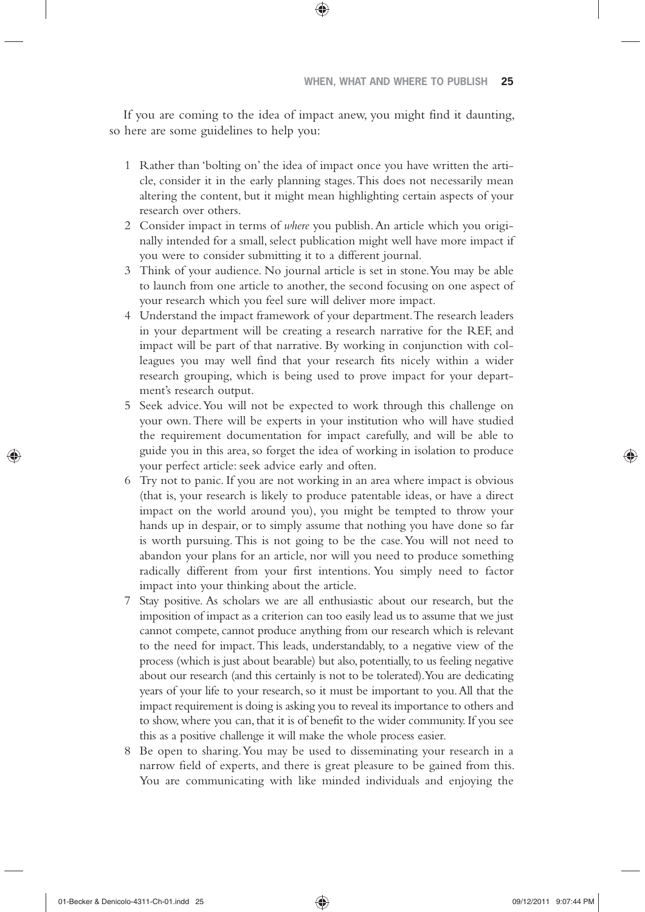If you are coming to the idea of impact anew, you might find it daunting, so here are some guidelines to help you:

❀

- 1 Rather than 'bolting on' the idea of impact once you have written the article, consider it in the early planning stages. This does not necessarily mean altering the content, but it might mean highlighting certain aspects of your research over others.
- 2 Consider impact in terms of *where* you publish. An article which you originally intended for a small, select publication might well have more impact if you were to consider submitting it to a different journal.
- 3 Think of your audience. No journal article is set in stone. You may be able to launch from one article to another, the second focusing on one aspect of your research which you feel sure will deliver more impact.
- 4 Understand the impact framework of your department. The research leaders in your department will be creating a research narrative for the REF, and impact will be part of that narrative. By working in conjunction with colleagues you may well find that your research fits nicely within a wider research grouping, which is being used to prove impact for your department's research output.
- 5 Seek advice. You will not be expected to work through this challenge on your own. There will be experts in your institution who will have studied the requirement documentation for impact carefully, and will be able to guide you in this area, so forget the idea of working in isolation to produce your perfect article: seek advice early and often.
- 6 Try not to panic. If you are not working in an area where impact is obvious (that is, your research is likely to produce patentable ideas, or have a direct impact on the world around you), you might be tempted to throw your hands up in despair, or to simply assume that nothing you have done so far is worth pursuing. This is not going to be the case. You will not need to abandon your plans for an article, nor will you need to produce something radically different from your first intentions. You simply need to factor impact into your thinking about the article.
- 7 Stay positive. As scholars we are all enthusiastic about our research, but the imposition of impact as a criterion can too easily lead us to assume that we just cannot compete, cannot produce anything from our research which is relevant to the need for impact. This leads, understandably, to a negative view of the process (which is just about bearable) but also, potentially, to us feeling negative about our research (and this certainly is not to be tolerated). You are dedicating years of your life to your research, so it must be important to you. All that the impact requirement is doing is asking you to reveal its importance to others and to show, where you can, that it is of benefit to the wider community. If you see this as a positive challenge it will make the whole process easier.
- 8 Be open to sharing. You may be used to disseminating your research in a narrow field of experts, and there is great pleasure to be gained from this. You are communicating with like minded individuals and enjoying the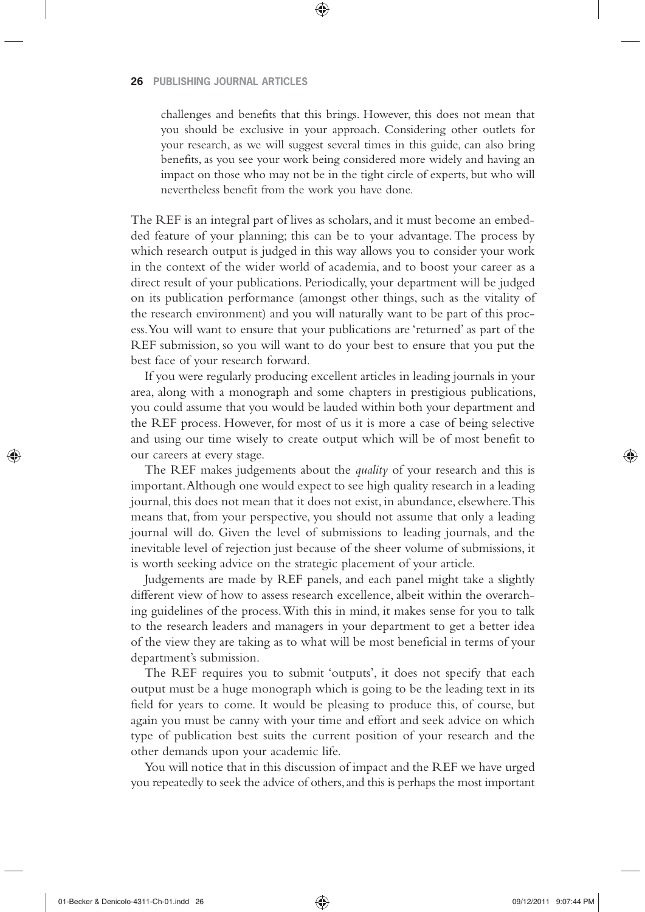challenges and benefits that this brings. However, this does not mean that you should be exclusive in your approach. Considering other outlets for your research, as we will suggest several times in this guide, can also bring benefits, as you see your work being considered more widely and having an impact on those who may not be in the tight circle of experts, but who will nevertheless benefit from the work you have done.

The REF is an integral part of lives as scholars, and it must become an embedded feature of your planning; this can be to your advantage. The process by which research output is judged in this way allows you to consider your work in the context of the wider world of academia, and to boost your career as a direct result of your publications. Periodically, your department will be judged on its publication performance (amongst other things, such as the vitality of the research environment) and you will naturally want to be part of this process. You will want to ensure that your publications are 'returned' as part of the REF submission, so you will want to do your best to ensure that you put the best face of your research forward.

If you were regularly producing excellent articles in leading journals in your area, along with a monograph and some chapters in prestigious publications, you could assume that you would be lauded within both your department and the REF process. However, for most of us it is more a case of being selective and using our time wisely to create output which will be of most benefit to our careers at every stage.

The REF makes judgements about the *quality* of your research and this is important. Although one would expect to see high quality research in a leading journal, this does not mean that it does not exist, in abundance, elsewhere. This means that, from your perspective, you should not assume that only a leading journal will do. Given the level of submissions to leading journals, and the inevitable level of rejection just because of the sheer volume of submissions, it is worth seeking advice on the strategic placement of your article.

Judgements are made by REF panels, and each panel might take a slightly different view of how to assess research excellence, albeit within the overarching guidelines of the process. With this in mind, it makes sense for you to talk to the research leaders and managers in your department to get a better idea of the view they are taking as to what will be most beneficial in terms of your department's submission.

The REF requires you to submit 'outputs', it does not specify that each output must be a huge monograph which is going to be the leading text in its field for years to come. It would be pleasing to produce this, of course, but again you must be canny with your time and effort and seek advice on which type of publication best suits the current position of your research and the other demands upon your academic life.

You will notice that in this discussion of impact and the REF we have urged you repeatedly to seek the advice of others, and this is perhaps the most important

↔